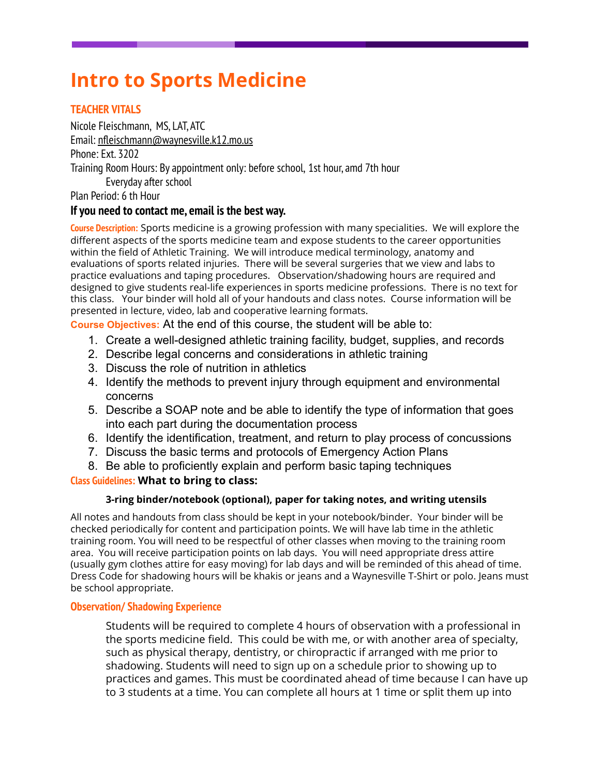# **Intro to Sports Medicine**

# **TEACHER VITALS**

Nicole Fleischmann, MS, LAT, ATC Email: [nfleischmann@waynesville.k12.mo.us](mailto:nfleischmann@waynesville.k12.mo.us) Phone: Ext. 3202 Training Room Hours: By appointment only: before school, 1st hour, amd 7th hour Everyday after school

Plan Period: 6 th Hour

# **If you need to contact me, email is the best way.**

**Course Description:** Sports medicine is a growing profession with many specialities. We will explore the different aspects of the sports medicine team and expose students to the career opportunities within the field of Athletic Training. We will introduce medical terminology, anatomy and evaluations of sports related injuries. There will be several surgeries that we view and labs to practice evaluations and taping procedures. Observation/shadowing hours are required and designed to give students real-life experiences in sports medicine professions. There is no text for this class. Your binder will hold all of your handouts and class notes. Course information will be presented in lecture, video, lab and cooperative learning formats.

**Course Objectives:** At the end of this course, the student will be able to:

- 1. Create a well-designed athletic training facility, budget, supplies, and records
- 2. Describe legal concerns and considerations in athletic training
- 3. Discuss the role of nutrition in athletics
- 4. Identify the methods to prevent injury through equipment and environmental concerns
- 5. Describe a SOAP note and be able to identify the type of information that goes into each part during the documentation process
- 6. Identify the identification, treatment, and return to play process of concussions
- 7. Discuss the basic terms and protocols of Emergency Action Plans
- 8. Be able to proficiently explain and perform basic taping techniques

# **Class Guidelines: What to bring to class:**

# **3-ring binder/notebook (optional), paper for taking notes, and writing utensils**

All notes and handouts from class should be kept in your notebook/binder. Your binder will be checked periodically for content and participation points. We will have lab time in the athletic training room. You will need to be respectful of other classes when moving to the training room area. You will receive participation points on lab days. You will need appropriate dress attire (usually gym clothes attire for easy moving) for lab days and will be reminded of this ahead of time. Dress Code for shadowing hours will be khakis or jeans and a Waynesville T-Shirt or polo. Jeans must be school appropriate.

# **Observation/ Shadowing Experience**

Students will be required to complete 4 hours of observation with a professional in the sports medicine field. This could be with me, or with another area of specialty, such as physical therapy, dentistry, or chiropractic if arranged with me prior to shadowing. Students will need to sign up on a schedule prior to showing up to practices and games. This must be coordinated ahead of time because I can have up to 3 students at a time. You can complete all hours at 1 time or split them up into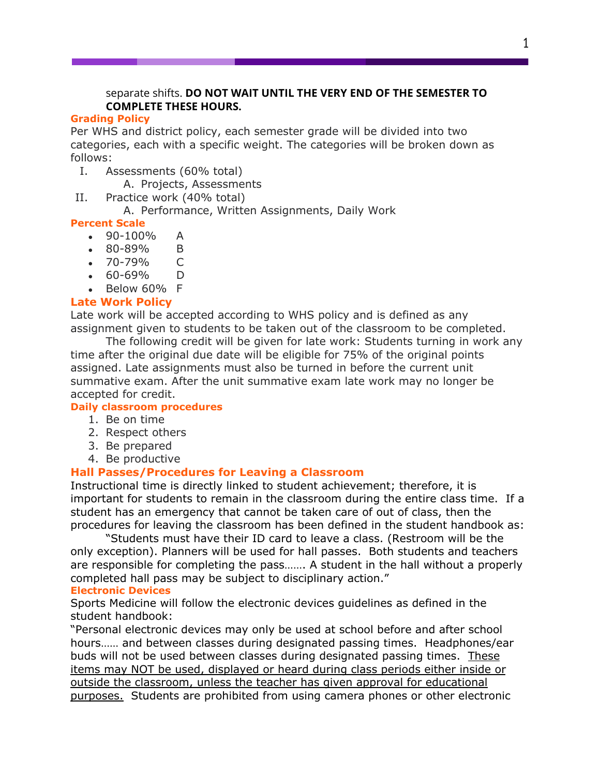#### separate shifts. **DO NOT WAIT UNTIL THE VERY END OF THE SEMESTER TO COMPLETE THESE HOURS.**

#### **Grading Policy**

Per WHS and district policy, each semester grade will be divided into two categories, each with a specific weight. The categories will be broken down as follows:

- I. Assessments (60% total)
	- A. Projects, Assessments
- II. Practice work (40% total)

# A. Performance, Written Assignments, Daily Work

# **Percent Scale**

- $\bullet$  90-100% A
- 80-89% B
- 70-79% C
- 60-69% D
- $\bullet$  Below 60% F

# **Late Work Policy**

Late work will be accepted according to WHS policy and is defined as any assignment given to students to be taken out of the classroom to be completed.

The following credit will be given for late work: Students turning in work any time after the original due date will be eligible for 75% of the original points assigned. Late assignments must also be turned in before the current unit summative exam. After the unit summative exam late work may no longer be accepted for credit.

#### **Daily classroom procedures**

- 1. Be on time
- 2. Respect others
- 3. Be prepared
- 4. Be productive

# **Hall Passes/Procedures for Leaving a Classroom**

Instructional time is directly linked to student achievement; therefore, it is important for students to remain in the classroom during the entire class time. If a student has an emergency that cannot be taken care of out of class, then the procedures for leaving the classroom has been defined in the student handbook as:

"Students must have their ID card to leave a class. (Restroom will be the only exception). Planners will be used for hall passes. Both students and teachers are responsible for completing the pass……. A student in the hall without a properly completed hall pass may be subject to disciplinary action."

#### **Electronic Devices**

Sports Medicine will follow the electronic devices guidelines as defined in the student handbook:

"Personal electronic devices may only be used at school before and after school hours…… and between classes during designated passing times. Headphones/ear buds will not be used between classes during designated passing times. These items may NOT be used, displayed or heard during class periods either inside or outside the classroom, unless the teacher has given approval for educational purposes. Students are prohibited from using camera phones or other electronic